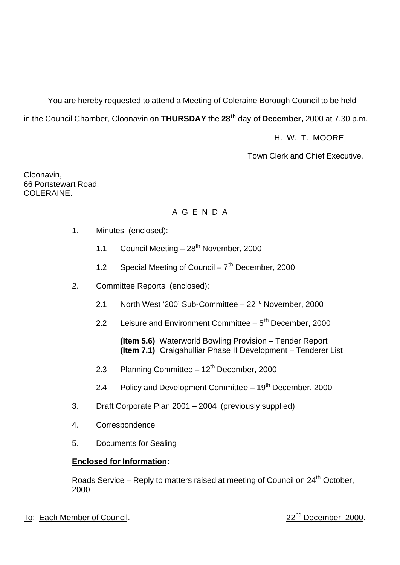You are hereby requested to attend a Meeting of Coleraine Borough Council to be held in the Council Chamber, Cloonavin on **THURSDAY** the **28th** day of **December,** 2000 at 7.30 p.m.

H. W. T. MOORE,

# **Town Clerk and Chief Executive.**

Cloonavin, 66 Portstewart Road, COLERAINE.

# A G E N D A

- 1. Minutes (enclosed):
	- 1.1 Council Meeting  $-28<sup>th</sup>$  November, 2000
	- 1.2 Special Meeting of Council  $7<sup>th</sup>$  December, 2000
- 2. Committee Reports (enclosed):
	- 2.1 North West '200' Sub-Committee 22<sup>nd</sup> November, 2000
	- 2.2 Leisure and Environment Committee  $-5<sup>th</sup>$  December, 2000

**(Item 5.6)** Waterworld Bowling Provision – Tender Report **(Item 7.1)** Craigahulliar Phase II Development – Tenderer List

- 2.3 Planning Committee  $-12<sup>th</sup>$  December, 2000
- 2.4 Policy and Development Committee  $-19<sup>th</sup>$  December, 2000
- 3. Draft Corporate Plan 2001 2004 (previously supplied)
- 4. Correspondence
- 5. Documents for Sealing

# **Enclosed for Information:**

Roads Service – Reply to matters raised at meeting of Council on 24<sup>th</sup> October, 2000

# To: Each Member of Council. 22<sup>nd</sup> December, 2000.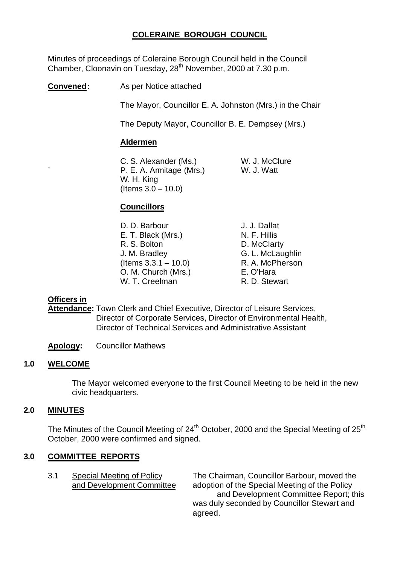# **COLERAINE BOROUGH COUNCIL**

Minutes of proceedings of Coleraine Borough Council held in the Council Chamber, Cloonavin on Tuesday, 28<sup>th</sup> November, 2000 at 7.30 p.m.

**Convened:** As per Notice attached

The Mayor, Councillor E. A. Johnston (Mrs.) in the Chair

The Deputy Mayor, Councillor B. E. Dempsey (Mrs.)

## **Aldermen**

C. S. Alexander (Ms.) W. J. McClure P. E. A. Armitage (Mrs.) W. J. Watt W. H. King  $($  Items  $3.0 - 10.0)$ 

# **Councillors**

D. D. Barbour J. J. Dallat E. T. Black (Mrs.) N. F. Hillis R. S. Bolton D. McClarty J. M. Bradley G. L. McLaughlin  $($ ltems  $3.3.1 - 10.0)$  R. A. McPherson O. M. Church (Mrs.) E. O'Hara W. T. Creelman R. D. Stewart

## **Officers in**

**Attendance:** Town Clerk and Chief Executive, Director of Leisure Services, Director of Corporate Services, Director of Environmental Health, Director of Technical Services and Administrative Assistant

**Apology:** Councillor Mathews

## **1.0 WELCOME**

The Mayor welcomed everyone to the first Council Meeting to be held in the new civic headquarters.

## **2.0 MINUTES**

The Minutes of the Council Meeting of 24<sup>th</sup> October, 2000 and the Special Meeting of 25<sup>th</sup> October, 2000 were confirmed and signed.

## **3.0 COMMITTEE REPORTS**

3.1 Special Meeting of Policy The Chairman, Councillor Barbour, moved the and Development Committee adoption of the Special Meeting of the Policy and Development Committee Report; this was duly seconded by Councillor Stewart and agreed.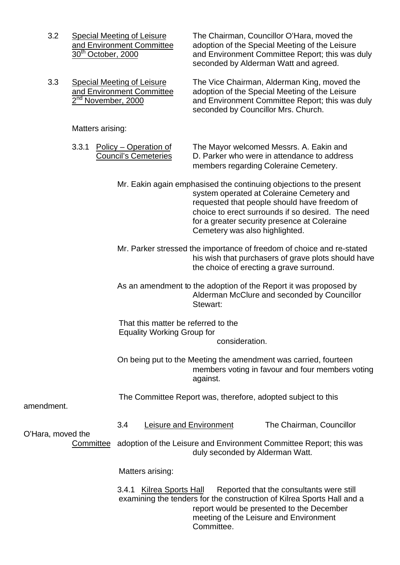3.2 Special Meeting of Leisure The Chairman, Councillor O'Hara, moved the and Environment Committee adoption of the Special Meeting of the Leisure 30<sup>th</sup> October, 2000 and Environment Committee Report; this was duly seconded by Alderman Watt and agreed.

3.3 Special Meeting of Leisure The Vice Chairman, Alderman King, moved the and Environment Committee adoption of the Special Meeting of the Leisure 2<sup>nd</sup> November, 2000 and Environment Committee Report; this was duly seconded by Councillor Mrs. Church.

Matters arising:

3.3.1 Policy – Operation of The Mayor welcomed Messrs. A. Eakin and Council's Cemeteries D. Parker who were in attendance to address members regarding Coleraine Cemetery.

> Mr. Eakin again emphasised the continuing objections to the present system operated at Coleraine Cemetery and requested that people should have freedom of choice to erect surrounds if so desired. The need for a greater security presence at Coleraine Cemetery was also highlighted.

Mr. Parker stressed the importance of freedom of choice and re-stated his wish that purchasers of grave plots should have the choice of erecting a grave surround.

As an amendment to the adoption of the Report it was proposed by Alderman McClure and seconded by Councillor Stewart:

That this matter be referred to the Equality Working Group for consideration.

On being put to the Meeting the amendment was carried, fourteen members voting in favour and four members voting against.

The Committee Report was, therefore, adopted subject to this

amendment.

3.4 Leisure and Environment The Chairman, Councillor

O'Hara, moved the

Committee adoption of the Leisure and Environment Committee Report; this was duly seconded by Alderman Watt.

Matters arising:

3.4.1 Kilrea Sports Hall Reported that the consultants were still examining the tenders for the construction of Kilrea Sports Hall and a report would be presented to the December meeting of the Leisure and Environment Committee.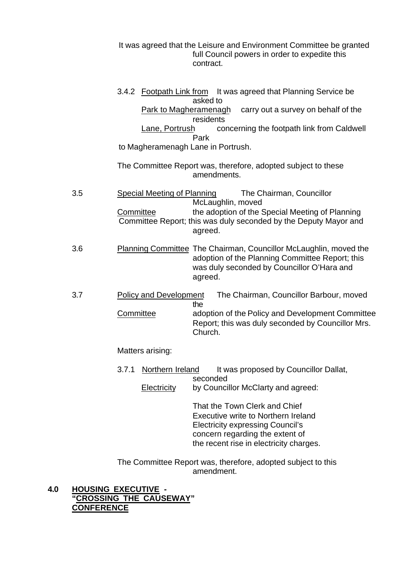It was agreed that the Leisure and Environment Committee be granted full Council powers in order to expedite this contract.

|     | Lane, Portrush<br>to Magheramenagh Lane in Portrush. | 3.4.2 Footpath Link from It was agreed that Planning Service be<br>asked to<br>Park to Magheramenagh carry out a survey on behalf of the<br>residents<br>concerning the footpath link from Caldwell<br>Park                                                                              |
|-----|------------------------------------------------------|------------------------------------------------------------------------------------------------------------------------------------------------------------------------------------------------------------------------------------------------------------------------------------------|
|     |                                                      | The Committee Report was, therefore, adopted subject to these<br>amendments.                                                                                                                                                                                                             |
| 3.5 | <b>Special Meeting of Planning</b><br>Committee      | The Chairman, Councillor<br>McLaughlin, moved<br>the adoption of the Special Meeting of Planning<br>Committee Report; this was duly seconded by the Deputy Mayor and<br>agreed.                                                                                                          |
| 3.6 |                                                      | <b>Planning Committee The Chairman, Councillor McLaughlin, moved the</b><br>adoption of the Planning Committee Report; this<br>was duly seconded by Councillor O'Hara and<br>agreed.                                                                                                     |
| 3.7 | <b>Policy and Development</b><br>Committee           | The Chairman, Councillor Barbour, moved<br>the<br>adoption of the Policy and Development Committee<br>Report; this was duly seconded by Councillor Mrs.<br>Church.                                                                                                                       |
|     | Matters arising:                                     |                                                                                                                                                                                                                                                                                          |
|     | Northern Ireland<br>3.7.1<br>Electricity             | It was proposed by Councillor Dallat,<br>seconded<br>by Councillor McClarty and agreed:<br>That the Town Clerk and Chief<br>Executive write to Northern Ireland<br><b>Electricity expressing Council's</b><br>concern regarding the extent of<br>the recent rise in electricity charges. |

The Committee Report was, therefore, adopted subject to this amendment.

# **4.0 HOUSING EXECUTIVE - "CROSSING THE CAUSEWAY" CONFERENCE**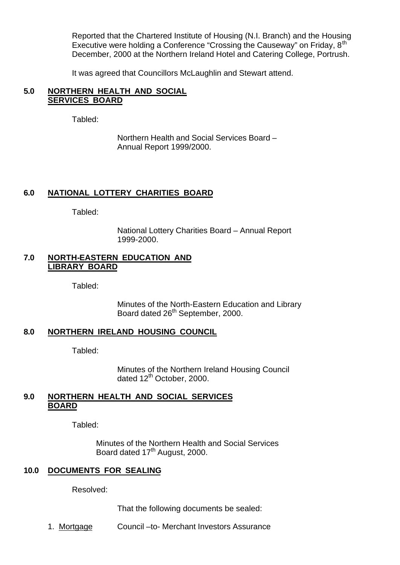Reported that the Chartered Institute of Housing (N.I. Branch) and the Housing Executive were holding a Conference "Crossing the Causeway" on Friday, 8<sup>th</sup> December, 2000 at the Northern Ireland Hotel and Catering College, Portrush.

It was agreed that Councillors McLaughlin and Stewart attend.

## **5.0 NORTHERN HEALTH AND SOCIAL SERVICES BOARD**

Tabled:

Northern Health and Social Services Board – Annual Report 1999/2000.

## **6.0 NATIONAL LOTTERY CHARITIES BOARD**

Tabled:

National Lottery Charities Board – Annual Report 1999-2000.

## **7.0 NORTH-EASTERN EDUCATION AND LIBRARY BOARD**

Tabled:

Minutes of the North-Eastern Education and Library Board dated 26<sup>th</sup> September, 2000.

## **8.0 NORTHERN IRELAND HOUSING COUNCIL**

Tabled:

Minutes of the Northern Ireland Housing Council dated 12<sup>th</sup> October, 2000.

## **9.0 NORTHERN HEALTH AND SOCIAL SERVICES BOARD**

Tabled:

Minutes of the Northern Health and Social Services Board dated 17<sup>th</sup> August, 2000.

## **10.0 DOCUMENTS FOR SEALING**

Resolved:

That the following documents be sealed:

1. Mortgage Council –to- Merchant Investors Assurance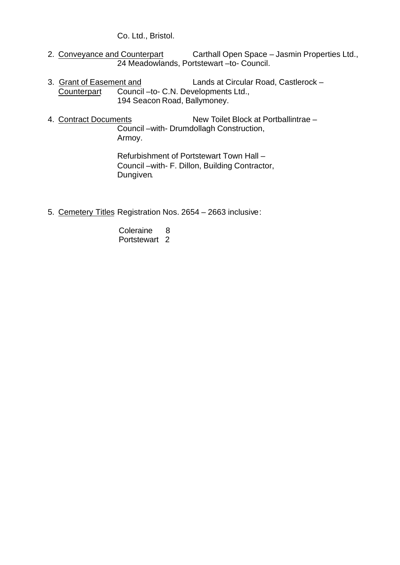Co. Ltd., Bristol.

- 2. Conveyance and Counterpart Carthall Open Space Jasmin Properties Ltd., 24 Meadowlands, Portstewart –to- Council.
- 3. Grant of Easement and **Lands at Circular Road, Castlerock** - Counterpart Council –to- C.N. Developments Ltd., 194 Seacon Road, Ballymoney.
- 4. Contract Documents New Toilet Block at Portballintrae Council –with- Drumdollagh Construction, Armoy.

Refurbishment of Portstewart Town Hall – Council –with- F. Dillon, Building Contractor, Dungiven.

- 5. Cemetery Titles Registration Nos. 2654 2663 inclusive:
	- Coleraine 8 Portstewart 2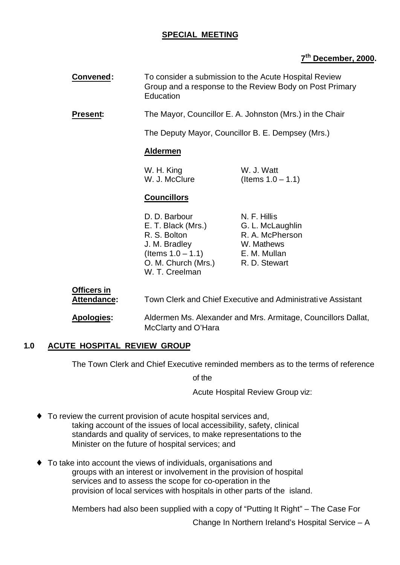# **SPECIAL MEETING**

# **7 th December, 2000.**

| Convened:                                | To consider a submission to the Acute Hospital Review<br>Group and a response to the Review Body on Post Primary<br>Education                      |                                                                                    |
|------------------------------------------|----------------------------------------------------------------------------------------------------------------------------------------------------|------------------------------------------------------------------------------------|
| <b>Present:</b>                          |                                                                                                                                                    | The Mayor, Councillor E. A. Johnston (Mrs.) in the Chair                           |
|                                          |                                                                                                                                                    | The Deputy Mayor, Councillor B. E. Dempsey (Mrs.)                                  |
|                                          | <b>Aldermen</b>                                                                                                                                    |                                                                                    |
|                                          | W. H. King<br>W. J. McClure                                                                                                                        | W. J. Watt<br>(Items $1.0 - 1.1$ )                                                 |
|                                          | <b>Councillors</b>                                                                                                                                 |                                                                                    |
|                                          | D. D. Barbour<br>E. T. Black (Mrs.)<br>R. S. Bolton<br>J. M. Bradley<br>(Items $1.0 - 1.1$ ) E. M. Mullan<br>O. M. Church (Mrs.)<br>W. T. Creelman | N. F. Hillis<br>G. L. McLaughlin<br>R. A. McPherson<br>W. Mathews<br>R. D. Stewart |
| <b>Officers in</b><br><b>Attendance:</b> |                                                                                                                                                    | Town Clerk and Chief Executive and Administrative Assistant                        |

**Apologies:** Aldermen Ms. Alexander and Mrs. Armitage, Councillors Dallat, McClarty and O'Hara

# **1.0 ACUTE HOSPITAL REVIEW GROUP**

The Town Clerk and Chief Executive reminded members as to the terms of reference

of the

Acute Hospital Review Group viz:

- ♦ To review the current provision of acute hospital services and, taking account of the issues of local accessibility, safety, clinical standards and quality of services, to make representations to the Minister on the future of hospital services; and
- ♦ To take into account the views of individuals, organisations and groups with an interest or involvement in the provision of hospital services and to assess the scope for co-operation in the provision of local services with hospitals in other parts of the island.

Members had also been supplied with a copy of "Putting It Right" – The Case For

Change In Northern Ireland's Hospital Service – A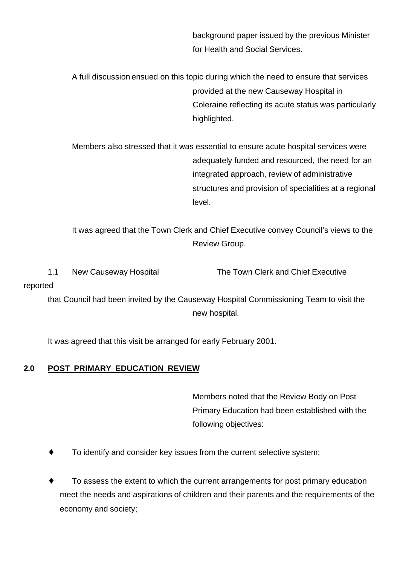background paper issued by the previous Minister for Health and Social Services.

A full discussion ensued on this topic during which the need to ensure that services provided at the new Causeway Hospital in Coleraine reflecting its acute status was particularly highlighted.

Members also stressed that it was essential to ensure acute hospital services were adequately funded and resourced, the need for an integrated approach, review of administrative structures and provision of specialities at a regional level.

It was agreed that the Town Clerk and Chief Executive convey Council's views to the Review Group.

1.1 New Causeway Hospital The Town Clerk and Chief Executive

reported

that Council had been invited by the Causeway Hospital Commissioning Team to visit the new hospital.

It was agreed that this visit be arranged for early February 2001.

# **2.0 POST PRIMARY EDUCATION REVIEW**

Members noted that the Review Body on Post Primary Education had been established with the following objectives:

- To identify and consider key issues from the current selective system;
- To assess the extent to which the current arrangements for post primary education meet the needs and aspirations of children and their parents and the requirements of the economy and society;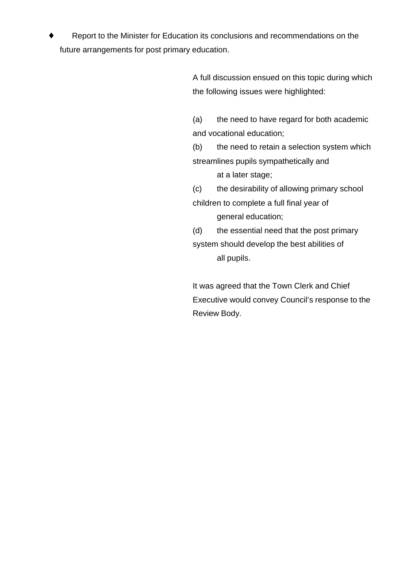Report to the Minister for Education its conclusions and recommendations on the future arrangements for post primary education.

> A full discussion ensued on this topic during which the following issues were highlighted:

(a) the need to have regard for both academic and vocational education;

(b) the need to retain a selection system which streamlines pupils sympathetically and at a later stage;

(c) the desirability of allowing primary school children to complete a full final year of general education;

(d) the essential need that the post primary system should develop the best abilities of all pupils.

It was agreed that the Town Clerk and Chief Executive would convey Council's response to the Review Body.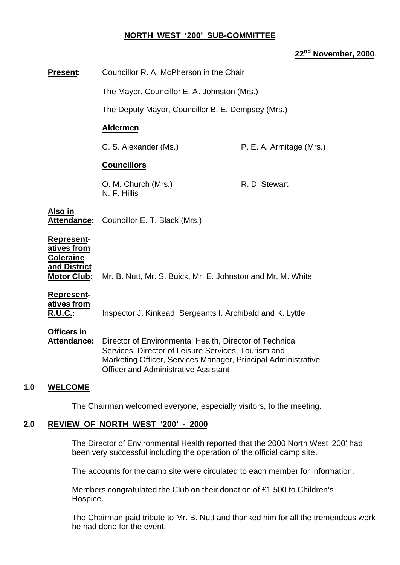## **NORTH WEST '200' SUB-COMMITTEE**

# **22nd November, 2000**.

| Present:                                                                            | Councillor R. A. McPherson in the Chair                                                                                                                                                                                        |                          |
|-------------------------------------------------------------------------------------|--------------------------------------------------------------------------------------------------------------------------------------------------------------------------------------------------------------------------------|--------------------------|
|                                                                                     | The Mayor, Councillor E. A. Johnston (Mrs.)                                                                                                                                                                                    |                          |
|                                                                                     | The Deputy Mayor, Councillor B. E. Dempsey (Mrs.)                                                                                                                                                                              |                          |
|                                                                                     | <b>Aldermen</b>                                                                                                                                                                                                                |                          |
|                                                                                     | C. S. Alexander (Ms.)                                                                                                                                                                                                          | P. E. A. Armitage (Mrs.) |
|                                                                                     | <b>Councillors</b>                                                                                                                                                                                                             |                          |
|                                                                                     | O. M. Church (Mrs.)<br>N. F. Hillis                                                                                                                                                                                            | R. D. Stewart            |
| Also in                                                                             | Attendance: Councillor E. T. Black (Mrs.)                                                                                                                                                                                      |                          |
| Represent-<br>atives from<br><b>Coleraine</b><br>and District<br><b>Motor Club:</b> | Mr. B. Nutt, Mr. S. Buick, Mr. E. Johnston and Mr. M. White                                                                                                                                                                    |                          |
| <b>Represent-</b><br>atives from<br><u>R.U.C.:</u>                                  | Inspector J. Kinkead, Sergeants I. Archibald and K. Lyttle                                                                                                                                                                     |                          |
| <b>Officers in</b><br>Attendance:                                                   | Director of Environmental Health, Director of Technical<br>Services, Director of Leisure Services, Tourism and<br>Marketing Officer, Services Manager, Principal Administrative<br><b>Officer and Administrative Assistant</b> |                          |
| <b>WELCOME</b>                                                                      |                                                                                                                                                                                                                                |                          |

The Chairman welcomed everyone, especially visitors, to the meeting.

## **2.0 REVIEW OF NORTH WEST '200' - 2000**

 $1.0$ 

The Director of Environmental Health reported that the 2000 North West '200' had been very successful including the operation of the official camp site.

The accounts for the camp site were circulated to each member for information.

Members congratulated the Club on their donation of £1,500 to Children's Hospice.

The Chairman paid tribute to Mr. B. Nutt and thanked him for all the tremendous work he had done for the event.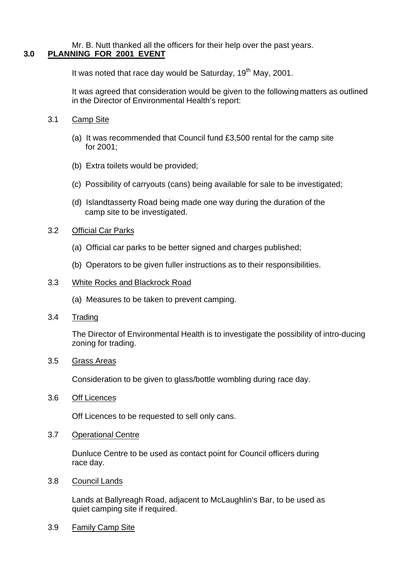#### Mr. B. Nutt thanked all the officers for their help over the past years. **3.0 PLANNING FOR 2001 EVENT**

It was noted that race day would be Saturday,  $19<sup>th</sup>$  May, 2001.

It was agreed that consideration would be given to the following matters as outlined in the Director of Environmental Health's report:

- 3.1 Camp Site
	- (a) It was recommended that Council fund £3,500 rental for the camp site for 2001;
	- (b) Extra toilets would be provided;
	- (c) Possibility of carryouts (cans) being available for sale to be investigated;
	- (d) Islandtasserty Road being made one way during the duration of the camp site to be investigated.

## 3.2 Official Car Parks

- (a) Official car parks to be better signed and charges published;
- (b) Operators to be given fuller instructions as to their responsibilities.

## 3.3 White Rocks and Blackrock Road

- (a) Measures to be taken to prevent camping.
- 3.4 Trading

The Director of Environmental Health is to investigate the possibility of intro-ducing zoning for trading.

## 3.5 Grass Areas

Consideration to be given to glass/bottle wombling during race day.

3.6 Off Licences

Off Licences to be requested to sell only cans.

## 3.7 Operational Centre

Dunluce Centre to be used as contact point for Council officers during race day.

## 3.8 Council Lands

Lands at Ballyreagh Road, adjacent to McLaughlin's Bar, to be used as quiet camping site if required.

3.9 Family Camp Site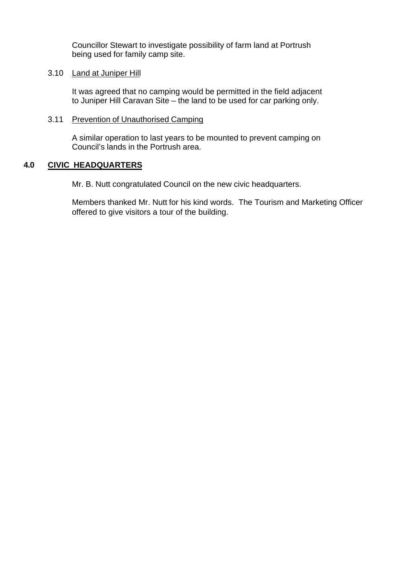Councillor Stewart to investigate possibility of farm land at Portrush being used for family camp site.

## 3.10 Land at Juniper Hill

It was agreed that no camping would be permitted in the field adjacent to Juniper Hill Caravan Site – the land to be used for car parking only.

## 3.11 Prevention of Unauthorised Camping

A similar operation to last years to be mounted to prevent camping on Council's lands in the Portrush area.

## **4.0 CIVIC HEADQUARTERS**

Mr. B. Nutt congratulated Council on the new civic headquarters.

Members thanked Mr. Nutt for his kind words. The Tourism and Marketing Officer offered to give visitors a tour of the building.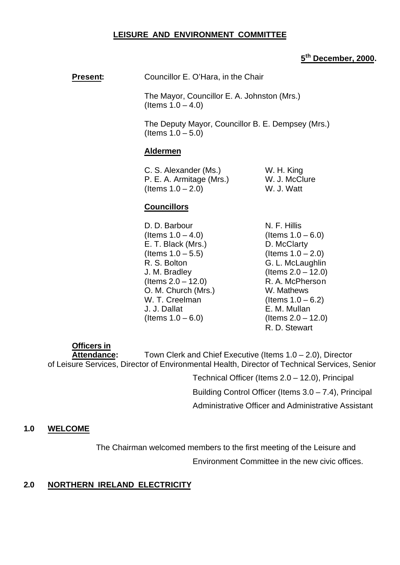## **LEISURE AND ENVIRONMENT COMMITTEE**

# **5 th December, 2000.**

**Present:** Councillor E. O'Hara, in the Chair

The Mayor, Councillor E. A. Johnston (Mrs.) (Items  $1.0 - 4.0$ )

The Deputy Mayor, Councillor B. E. Dempsey (Mrs.) (Items 1.0 – 5.0)

#### **Aldermen**

| C. S. Alexander (Ms.)    | W. H. King    |
|--------------------------|---------------|
| P. E. A. Armitage (Mrs.) | W. J. McClure |
| (Items $1.0 - 2.0$ )     | W. J. Watt    |

## **Councillors**

- D. D. Barbour N. F. Hillis  $($ ltems  $1.0 - 4.0)$  (Items  $1.0 - 6.0)$ E. T. Black (Mrs.) D. McClarty  $($ ltems  $1.0 - 5.5)$   $($ ltems  $1.0 - 2.0)$ R. S. Bolton G. L. McLaughlin J. M. Bradley (Items 2.0 – 12.0)  $($ ltems  $2.0 - 12.0)$  R. A. McPherson O. M. Church (Mrs.) W. Mathews W. T. Creelman  $($ Items  $1.0 - 6.2)$ J. J. Dallat E. M. Mullan  $($ ltems  $1.0 - 6.0)$   $($ ltems  $2.0 - 12.0)$
- R. D. Stewart

**Officers in**

Attendance: Town Clerk and Chief Executive (Items 1.0 – 2.0), Director of Leisure Services, Director of Environmental Health, Director of Technical Services, Senior

> Technical Officer (Items 2.0 – 12.0), Principal Building Control Officer (Items 3.0 – 7.4), Principal Administrative Officer and Administrative Assistant

## **1.0 WELCOME**

The Chairman welcomed members to the first meeting of the Leisure and

Environment Committee in the new civic offices.

# **2.0 NORTHERN IRELAND ELECTRICITY**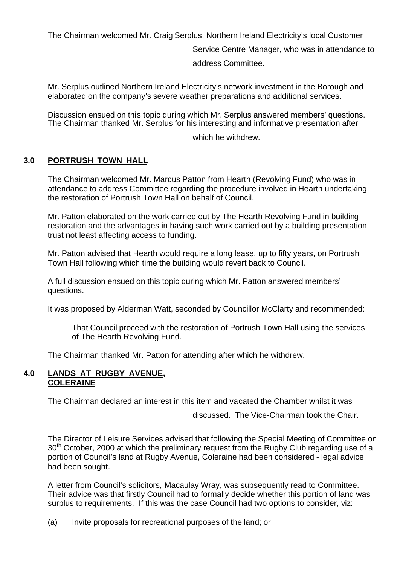The Chairman welcomed Mr. Craig Serplus, Northern Ireland Electricity's local Customer

Service Centre Manager, who was in attendance to

address Committee.

Mr. Serplus outlined Northern Ireland Electricity's network investment in the Borough and elaborated on the company's severe weather preparations and additional services.

Discussion ensued on this topic during which Mr. Serplus answered members' questions. The Chairman thanked Mr. Serplus for his interesting and informative presentation after

which he withdrew.

# **3.0 PORTRUSH TOWN HALL**

The Chairman welcomed Mr. Marcus Patton from Hearth (Revolving Fund) who was in attendance to address Committee regarding the procedure involved in Hearth undertaking the restoration of Portrush Town Hall on behalf of Council.

Mr. Patton elaborated on the work carried out by The Hearth Revolving Fund in building restoration and the advantages in having such work carried out by a building presentation trust not least affecting access to funding.

Mr. Patton advised that Hearth would require a long lease, up to fifty years, on Portrush Town Hall following which time the building would revert back to Council.

A full discussion ensued on this topic during which Mr. Patton answered members' questions.

It was proposed by Alderman Watt, seconded by Councillor McClarty and recommended:

That Council proceed with the restoration of Portrush Town Hall using the services of The Hearth Revolving Fund.

The Chairman thanked Mr. Patton for attending after which he withdrew.

# **4.0 LANDS AT RUGBY AVENUE, COLERAINE**

The Chairman declared an interest in this item and vacated the Chamber whilst it was

discussed. The Vice-Chairman took the Chair.

The Director of Leisure Services advised that following the Special Meeting of Committee on 30<sup>th</sup> October, 2000 at which the preliminary request from the Rugby Club regarding use of a portion of Council's land at Rugby Avenue, Coleraine had been considered - legal advice had been sought.

A letter from Council's solicitors, Macaulay Wray, was subsequently read to Committee. Their advice was that firstly Council had to formally decide whether this portion of land was surplus to requirements. If this was the case Council had two options to consider, viz:

(a) Invite proposals for recreational purposes of the land; or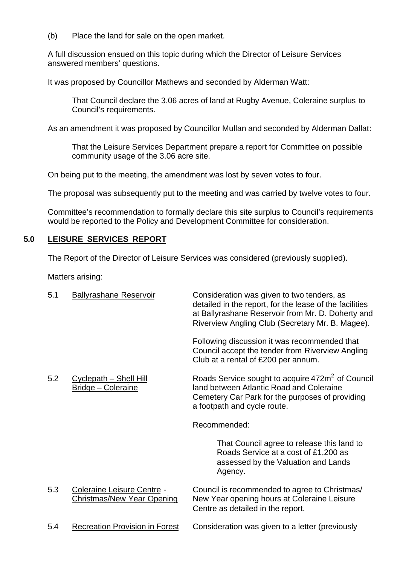(b) Place the land for sale on the open market.

A full discussion ensued on this topic during which the Director of Leisure Services answered members' questions.

It was proposed by Councillor Mathews and seconded by Alderman Watt:

That Council declare the 3.06 acres of land at Rugby Avenue, Coleraine surplus to Council's requirements.

As an amendment it was proposed by Councillor Mullan and seconded by Alderman Dallat:

That the Leisure Services Department prepare a report for Committee on possible community usage of the 3.06 acre site.

On being put to the meeting, the amendment was lost by seven votes to four.

The proposal was subsequently put to the meeting and was carried by twelve votes to four.

Committee's recommendation to formally declare this site surplus to Council's requirements would be reported to the Policy and Development Committee for consideration.

# **5.0 LEISURE SERVICES REPORT**

The Report of the Director of Leisure Services was considered (previously supplied).

Matters arising:

| 5.1 | <b>Ballyrashane Reservoir</b>                                   | Consideration was given to two tenders, as<br>detailed in the report, for the lease of the facilities<br>at Ballyrashane Reservoir from Mr. D. Doherty and<br>Riverview Angling Club (Secretary Mr. B. Magee). |
|-----|-----------------------------------------------------------------|----------------------------------------------------------------------------------------------------------------------------------------------------------------------------------------------------------------|
|     |                                                                 | Following discussion it was recommended that<br>Council accept the tender from Riverview Angling<br>Club at a rental of £200 per annum.                                                                        |
| 5.2 | <b>Cyclepath - Shell Hill</b><br><b>Bridge - Coleraine</b>      | Roads Service sought to acquire 472m <sup>2</sup> of Council<br>land between Atlantic Road and Coleraine<br>Cemetery Car Park for the purposes of providing<br>a footpath and cycle route.                     |
|     |                                                                 | Recommended:                                                                                                                                                                                                   |
|     |                                                                 | That Council agree to release this land to<br>Roads Service at a cost of £1,200 as<br>assessed by the Valuation and Lands<br>Agency.                                                                           |
| 5.3 | Coleraine Leisure Centre -<br><b>Christmas/New Year Opening</b> | Council is recommended to agree to Christmas/<br>New Year opening hours at Coleraine Leisure<br>Centre as detailed in the report.                                                                              |
| 5.4 | <b>Recreation Provision in Forest</b>                           | Consideration was given to a letter (previously                                                                                                                                                                |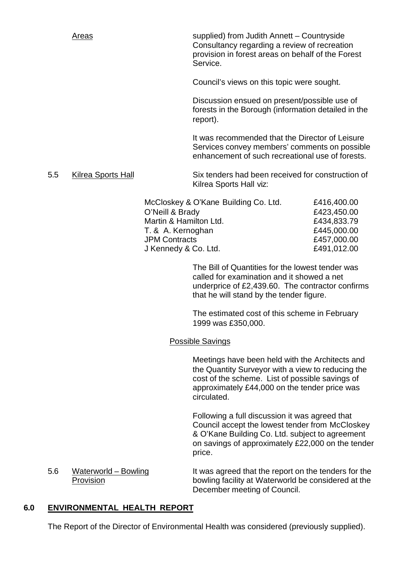Areas supplied) from Judith Annett – Countryside Consultancy regarding a review of recreation provision in forest areas on behalf of the Forest Service.

Council's views on this topic were sought.

Discussion ensued on present/possible use of forests in the Borough (information detailed in the report).

It was recommended that the Director of Leisure Services convey members' comments on possible enhancement of such recreational use of forests.

5.5 Kilrea Sports Hall Six tenders had been received for construction of Kilrea Sports Hall viz:

| McCloskey & O'Kane Building Co. Ltd. | £416,400.00 |
|--------------------------------------|-------------|
| O'Neill & Brady                      | £423,450.00 |
| Martin & Hamilton Ltd.               | £434,833.79 |
| T. & A. Kernoghan                    | £445,000.00 |
| <b>JPM Contracts</b>                 | £457,000.00 |
| J Kennedy & Co. Ltd.                 | £491,012.00 |

The Bill of Quantities for the lowest tender was called for examination and it showed a net underprice of £2,439.60. The contractor confirms that he will stand by the tender figure.

The estimated cost of this scheme in February 1999 was £350,000.

## Possible Savings

Meetings have been held with the Architects and the Quantity Surveyor with a view to reducing the cost of the scheme. List of possible savings of approximately £44,000 on the tender price was circulated.

Following a full discussion it was agreed that Council accept the lowest tender from McCloskey & O'Kane Building Co. Ltd. subject to agreement on savings of approximately £22,000 on the tender price.

5.6 Waterworld – Bowling It was agreed that the report on the tenders for the Provision bowling facility at Waterworld be considered at the December meeting of Council.

## **6.0 ENVIRONMENTAL HEALTH REPORT**

The Report of the Director of Environmental Health was considered (previously supplied).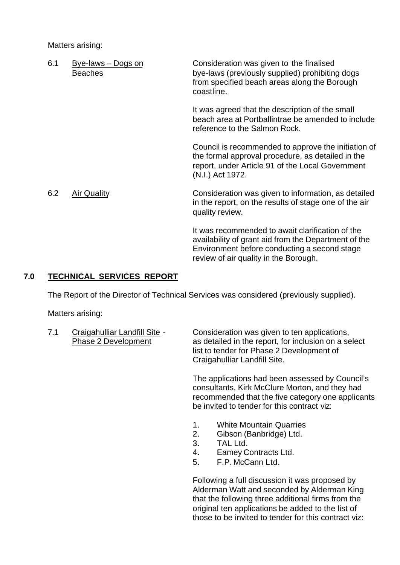Matters arising:

| 6.1 | Bye-laws - Dogs on<br><b>Beaches</b> | Consideration was given to the finalised<br>bye-laws (previously supplied) prohibiting dogs<br>from specified beach areas along the Borough<br>coastline.                                         |
|-----|--------------------------------------|---------------------------------------------------------------------------------------------------------------------------------------------------------------------------------------------------|
|     |                                      | It was agreed that the description of the small<br>beach area at Portballintrae be amended to include<br>reference to the Salmon Rock.                                                            |
|     |                                      | Council is recommended to approve the initiation of<br>the formal approval procedure, as detailed in the<br>report, under Article 91 of the Local Government<br>(N.I.) Act 1972.                  |
| 6.2 | <b>Air Quality</b>                   | Consideration was given to information, as detailed<br>in the report, on the results of stage one of the air<br>quality review.                                                                   |
|     |                                      | It was recommended to await clarification of the<br>availability of grant aid from the Department of the<br>Environment before conducting a second stage<br>review of air quality in the Borough. |

# **7.0 TECHNICAL SERVICES REPORT**

The Report of the Director of Technical Services was considered (previously supplied).

Matters arising:

| 7.1 | Craigahulliar Landfill Site - |
|-----|-------------------------------|
|     | <b>Phase 2 Development</b>    |

Consideration was given to ten applications, as detailed in the report, for inclusion on a select list to tender for Phase 2 Development of Craigahulliar Landfill Site.

The applications had been assessed by Council's consultants, Kirk McClure Morton, and they had recommended that the five category one applicants be invited to tender for this contract viz:

- 1. White Mountain Quarries
- 2. Gibson (Banbridge) Ltd.
- 3. TAL Ltd.
- 4. Eamey Contracts Ltd.
- 5. F.P. McCann Ltd.

Following a full discussion it was proposed by Alderman Watt and seconded by Alderman King that the following three additional firms from the original ten applications be added to the list of those to be invited to tender for this contract viz: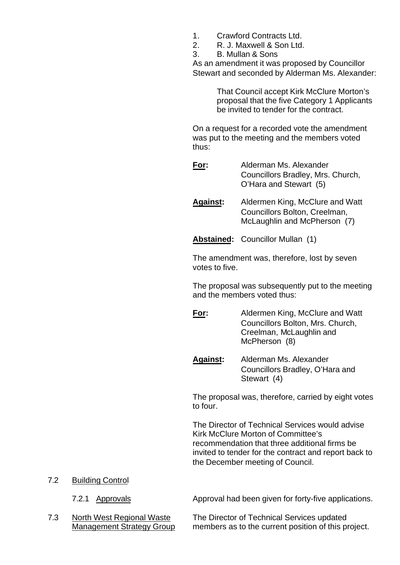- 1. Crawford Contracts Ltd.
- 2. R. J. Maxwell & Son Ltd.
- 3. B. Mullan & Sons

As an amendment it was proposed by Councillor Stewart and seconded by Alderman Ms. Alexander:

> That Council accept Kirk McClure Morton's proposal that the five Category 1 Applicants be invited to tender for the contract.

On a request for a recorded vote the amendment was put to the meeting and the members voted thus:

- **For:** Alderman Ms. Alexander Councillors Bradley, Mrs. Church, O'Hara and Stewart (5)
- **Against:** Aldermen King, McClure and Watt Councillors Bolton, Creelman, McLaughlin and McPherson (7)

**Abstained:** Councillor Mullan (1)

The amendment was, therefore, lost by seven votes to five.

The proposal was subsequently put to the meeting and the members voted thus:

- **For:** Aldermen King, McClure and Watt Councillors Bolton, Mrs. Church, Creelman, McLaughlin and McPherson (8)
- **Against:** Alderman Ms. Alexander Councillors Bradley, O'Hara and Stewart (4)

The proposal was, therefore, carried by eight votes to four.

The Director of Technical Services would advise Kirk McClure Morton of Committee's recommendation that three additional firms be invited to tender for the contract and report back to the December meeting of Council.

7.2 Building Control

7.2.1 Approvals **Approval had been given for forty-five applications.** 

7.3 North West Regional Waste The Director of Technical Services updated Management Strategy Group members as to the current position of this project.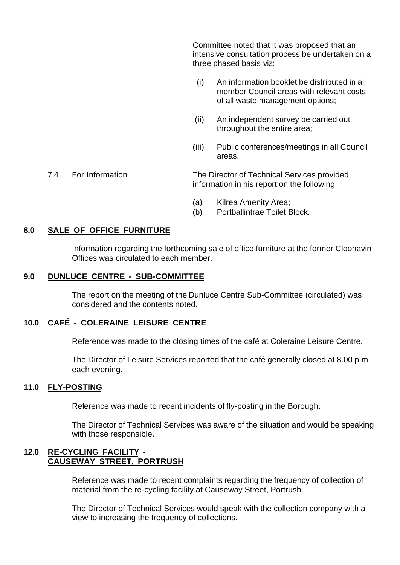Committee noted that it was proposed that an intensive consultation process be undertaken on a three phased basis viz:

- (i) An information booklet be distributed in all member Council areas with relevant costs of all waste management options;
- (ii) An independent survey be carried out throughout the entire area;
- (iii) Public conferences/meetings in all Council areas.

## 7.4 For Information The Director of Technical Services provided information in his report on the following:

- (a) Kilrea Amenity Area;
- (b) Portballintrae Toilet Block.

## **8.0 SALE OF OFFICE FURNITURE**

Information regarding the forthcoming sale of office furniture at the former Cloonavin Offices was circulated to each member.

## **9.0 DUNLUCE CENTRE - SUB-COMMITTEE**

The report on the meeting of the Dunluce Centre Sub-Committee (circulated) was considered and the contents noted.

## **10.0 CAFÉ - COLERAINE LEISURE CENTRE**

Reference was made to the closing times of the café at Coleraine Leisure Centre.

The Director of Leisure Services reported that the café generally closed at 8.00 p.m. each evening.

## **11.0 FLY-POSTING**

Reference was made to recent incidents of fly-posting in the Borough.

The Director of Technical Services was aware of the situation and would be speaking with those responsible.

# **12.0 RE-CYCLING FACILITY - CAUSEWAY STREET, PORTRUSH**

Reference was made to recent complaints regarding the frequency of collection of material from the re-cycling facility at Causeway Street, Portrush.

The Director of Technical Services would speak with the collection company with a view to increasing the frequency of collections.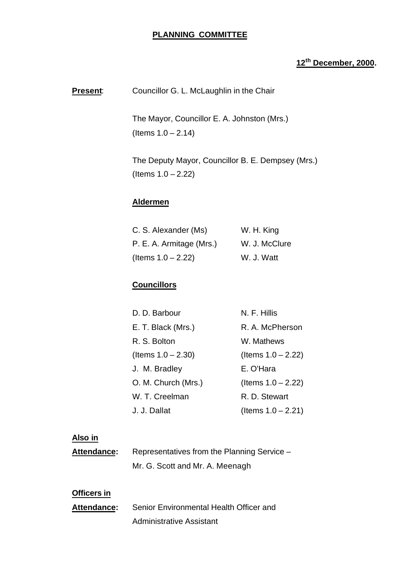# **PLANNING COMMITTEE**

# **12th December, 2000.**

**Present:** Councillor G. L. McLaughlin in the Chair

The Mayor, Councillor E. A. Johnston (Mrs.)  $($  ltems  $1.0 - 2.14)$ 

The Deputy Mayor, Councillor B. E. Dempsey (Mrs.) (Items 1.0 – 2.22)

## **Aldermen**

| C. S. Alexander (Ms)     | W. H. King    |
|--------------------------|---------------|
| P. E. A. Armitage (Mrs.) | W. J. McClure |
| (Items $1.0 - 2.22$ )    | W. J. Watt    |

# **Councillors**

| D. D. Barbour         | N. F. Hillis          |
|-----------------------|-----------------------|
| E. T. Black (Mrs.)    | R. A. McPherson       |
| R. S. Bolton          | W. Mathews            |
| (Items $1.0 - 2.30$ ) | (Items $1.0 - 2.22$ ) |
| J. M. Bradley         | E. O'Hara             |
| O. M. Church (Mrs.)   | (Items $1.0 - 2.22$ ) |
| W. T. Creelman        | R. D. Stewart         |
| J. J. Dallat          | (Items $1.0 - 2.21$ ) |

# **Also in**

| <b>Attendance:</b> | Representatives from the Planning Service - |
|--------------------|---------------------------------------------|
|                    | Mr. G. Scott and Mr. A. Meenagh             |

# **Officers in**

| <b>Attendance:</b> | Senior Environmental Health Officer and |
|--------------------|-----------------------------------------|
|                    | <b>Administrative Assistant</b>         |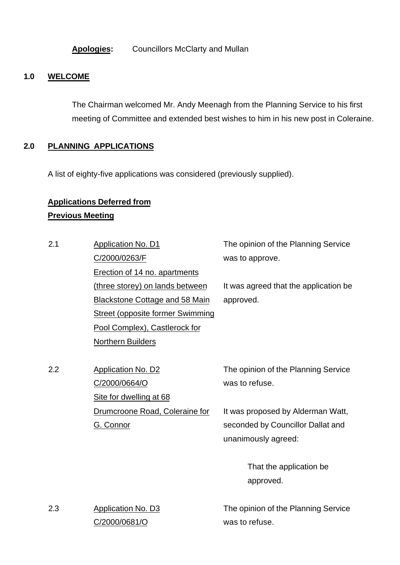**Apologies:** Councillors McClarty and Mullan

# **1.0 WELCOME**

The Chairman welcomed Mr. Andy Meenagh from the Planning Service to his first meeting of Committee and extended best wishes to him in his new post in Coleraine.

# **2.0 PLANNING APPLICATIONS**

A list of eighty-five applications was considered (previously supplied).

# **Applications Deferred from Previous Meeting**

C/2000/0681/O

| 2.1 | <b>Application No. D1</b>               | The opinion of the Planning Service   |  |
|-----|-----------------------------------------|---------------------------------------|--|
|     | C/2000/0263/F                           | was to approve.                       |  |
|     | Erection of 14 no. apartments           |                                       |  |
|     | (three storey) on lands between         | It was agreed that the application be |  |
|     | <b>Blackstone Cottage and 58 Main</b>   | approved.                             |  |
|     | <b>Street (opposite former Swimming</b> |                                       |  |
|     | Pool Complex), Castlerock for           |                                       |  |
|     | <b>Northern Builders</b>                |                                       |  |
|     |                                         |                                       |  |
| 2.2 | <b>Application No. D2</b>               | The opinion of the Planning Service   |  |
|     | C/2000/0664/O                           | was to refuse.                        |  |
|     | Site for dwelling at 68                 |                                       |  |
|     | Drumcroone Road, Coleraine for          | It was proposed by Alderman Watt,     |  |
|     | G. Connor                               | seconded by Councillor Dallat and     |  |
|     |                                         | unanimously agreed:                   |  |
|     |                                         |                                       |  |
|     |                                         | That the application be               |  |
|     |                                         | approved.                             |  |
|     |                                         |                                       |  |
| 2.3 | Application No. D3                      | The opinion of the Planning Service   |  |

was to refuse.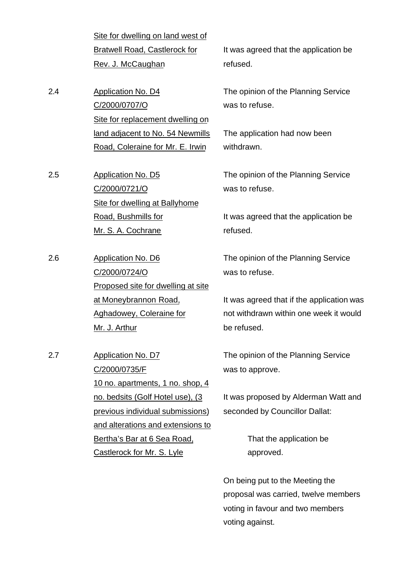Site for dwelling on land west of Bratwell Road, Castlerock for Rev. J. McCaughan

2.4 Application No. D4 C/2000/0707/O Site for replacement dwelling on land adjacent to No. 54 Newmills Road, Coleraine for Mr. E. Irwin

2.5 Application No. D5 C/2000/0721/O Site for dwelling at Ballyhome Road, Bushmills for Mr. S. A. Cochrane

2.6 Application No. D6 C/2000/0724/O Proposed site for dwelling at site at Moneybrannon Road, Aghadowey, Coleraine for Mr. J. Arthur

2.7 Application No. D7 C/2000/0735/F 10 no. apartments, 1 no. shop, 4 no. bedsits (Golf Hotel use), (3 previous individual submissions) and alterations and extensions to Bertha's Bar at 6 Sea Road, Castlerock for Mr. S. Lyle

It was agreed that the application be refused.

The opinion of the Planning Service was to refuse.

The application had now been withdrawn.

The opinion of the Planning Service was to refuse.

It was agreed that the application be refused.

The opinion of the Planning Service was to refuse.

It was agreed that if the application was not withdrawn within one week it would be refused.

The opinion of the Planning Service was to approve.

It was proposed by Alderman Watt and seconded by Councillor Dallat:

> That the application be approved.

On being put to the Meeting the proposal was carried, twelve members voting in favour and two members voting against.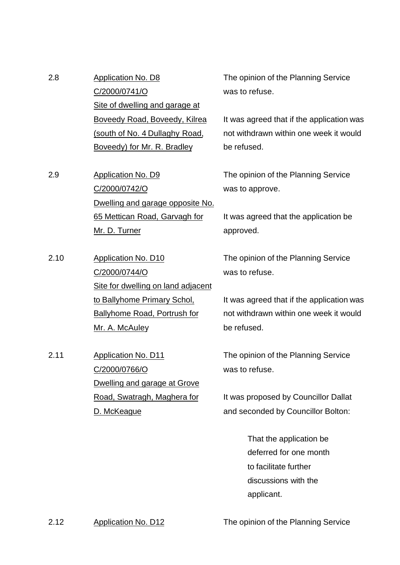| 2.8 | Application No. D8             |
|-----|--------------------------------|
|     | C/2000/0741/O                  |
|     | Site of dwelling and garage at |
|     | Boveedy Road, Boveedy, Kilrea  |
|     | (south of No. 4 Dullaghy Road, |
|     | Boveedy) for Mr. R. Bradley    |
|     |                                |

2.9 Application No. D9 C/2000/0742/O Dwelling and garage opposite No. 65 Mettican Road, Garvagh for Mr. D. Turner

2.10 Application No. D10 C/2000/0744/O Site for dwelling on land adjacent to Ballyhome Primary Schol, Ballyhome Road, Portrush for Mr. A. McAuley

2.11 Application No. D11 C/2000/0766/O Dwelling and garage at Grove Road, Swatragh, Maghera for D. McKeague

The opinion of the Planning Service was to refuse.

It was agreed that if the application was not withdrawn within one week it would be refused.

The opinion of the Planning Service was to approve.

It was agreed that the application be approved.

The opinion of the Planning Service was to refuse.

It was agreed that if the application was not withdrawn within one week it would be refused.

The opinion of the Planning Service was to refuse.

It was proposed by Councillor Dallat and seconded by Councillor Bolton:

> That the application be deferred for one month to facilitate further discussions with the applicant.

2.12 Application No. D12 The opinion of the Planning Service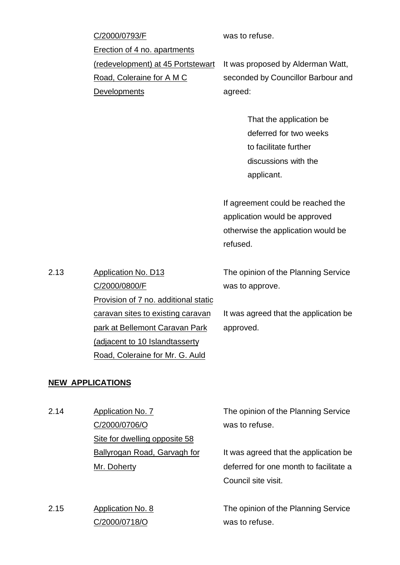| C/2000/0793/F                     | was to refuse.                     |
|-----------------------------------|------------------------------------|
| Erection of 4 no. apartments      |                                    |
| (redevelopment) at 45 Portstewart | It was proposed by Alderman Watt,  |
| Road, Coleraine for A M C         | seconded by Councillor Barbour and |
| <b>Developments</b>               | agreed:                            |
|                                   |                                    |
|                                   | That the application be            |
|                                   | deferred for two weeks             |
|                                   | to facilitate further              |

If agreement could be reached the application would be approved otherwise the application would be refused.

discussions with the

applicant.

The opinion of the Planning Service was to approve.

It was agreed that the application be approved.

**NEW APPLICATIONS**

2.13 Application No. D13

C/2000/0800/F

Provision of 7 no. additional static

caravan sites to existing caravan

park at Bellemont Caravan Park

(adjacent to 10 Islandtasserty

Road, Coleraine for Mr. G. Auld

2.14 Application No. 7 C/2000/0706/O Site for dwelling opposite 58 Ballyrogan Road, Garvagh for Mr. Doherty

2.15 Application No. 8 C/2000/0718/O

The opinion of the Planning Service was to refuse.

It was agreed that the application be deferred for one month to facilitate a Council site visit.

The opinion of the Planning Service was to refuse.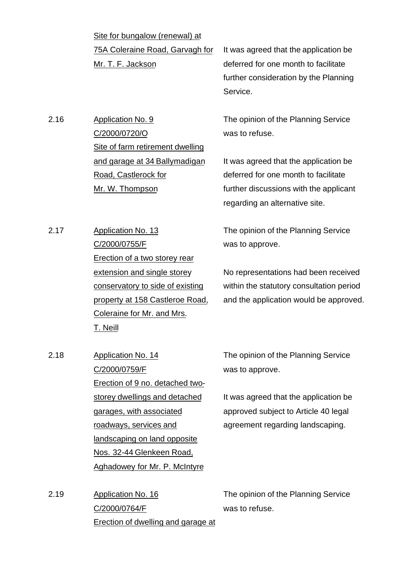Site for bungalow (renewal) at 75A Coleraine Road, Garvagh for Mr. T. F. Jackson

It was agreed that the application be deferred for one month to facilitate further consideration by the Planning Service.

The opinion of the Planning Service

was to refuse.

2.16 Application No. 9 C/2000/0720/O Site of farm retirement dwelling and garage at 34 Ballymadigan Road, Castlerock for Mr. W. Thompson

It was agreed that the application be deferred for one month to facilitate further discussions with the applicant regarding an alternative site.

2.17 Application No. 13 C/2000/0755/F Erection of a two storey rear extension and single storey conservatory to side of existing property at 158 Castleroe Road, Coleraine for Mr. and Mrs. T. Neill

The opinion of the Planning Service was to approve.

No representations had been received within the statutory consultation period and the application would be approved.

2.18 Application No. 14 C/2000/0759/F Erection of 9 no. detached twostorey dwellings and detached garages, with associated roadways, services and landscaping on land opposite Nos. 32-44 Glenkeen Road, Aghadowey for Mr. P. McIntyre

The opinion of the Planning Service was to approve.

It was agreed that the application be approved subject to Article 40 legal agreement regarding landscaping.

2.19 Application No. 16 C/2000/0764/F Erection of dwelling and garage at

The opinion of the Planning Service was to refuse.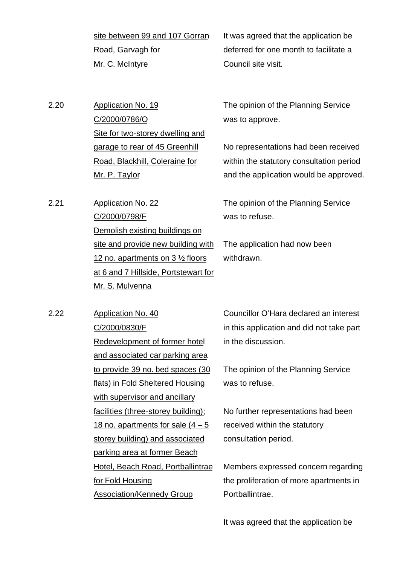site between 99 and 107 Gorran Road, Garvagh for Mr. C. McIntyre

It was agreed that the application be deferred for one month to facilitate a Council site visit.

2.20 Application No. 19 C/2000/0786/O Site for two-storey dwelling and garage to rear of 45 Greenhill Road, Blackhill, Coleraine for Mr. P. Taylor

2.21 Application No. 22

C/2000/0798/F

Mr. S. Mulvenna

Demolish existing buildings on

site and provide new building with

at 6 and 7 Hillside, Portstewart for

12 no. apartments on 3 ½ floors

The opinion of the Planning Service was to approve.

No representations had been received within the statutory consultation period and the application would be approved.

The opinion of the Planning Service was to refuse.

The application had now been withdrawn.

2.22 Application No. 40 C/2000/0830/F Redevelopment of former hotel and associated car parking area to provide 39 no. bed spaces (30 flats) in Fold Sheltered Housing with supervisor and ancillary facilities (three-storey building); 18 no. apartments for sale  $(4 - 5)$ storey building) and associated parking area at former Beach Hotel, Beach Road, Portballintrae for Fold Housing Association/Kennedy Group

Councillor O'Hara declared an interest in this application and did not take part in the discussion.

The opinion of the Planning Service was to refuse.

No further representations had been received within the statutory consultation period.

Members expressed concern regarding the proliferation of more apartments in Portballintrae.

It was agreed that the application be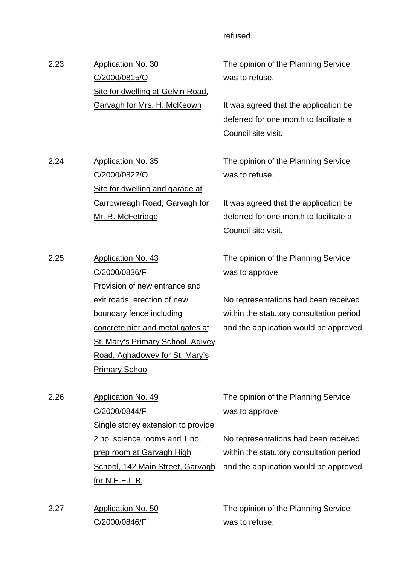## refused.

2.23 Application No. 30 C/2000/0815/O Site for dwelling at Gelvin Road, Garvagh for Mrs. H. McKeown

2.24 Application No. 35

2.25 Application No. 43

C/2000/0822/O

Mr. R. McFetridge

C/2000/0836/F

Site for dwelling and garage at

Provision of new entrance and

concrete pier and metal gates at

St. Mary's Primary School, Agivey

exit roads, erection of new

boundary fence including

Carrowreagh Road, Garvagh for

The opinion of the Planning Service was to refuse.

It was agreed that the application be deferred for one month to facilitate a Council site visit.

The opinion of the Planning Service was to refuse.

It was agreed that the application be deferred for one month to facilitate a Council site visit.

The opinion of the Planning Service was to approve.

No representations had been received within the statutory consultation period and the application would be approved.

Road, Aghadowey for St. Mary's Primary School 2.26 Application No. 49 C/2000/0844/F Single storey extension to provide 2 no. science rooms and 1 no. prep room at Garvagh High School, 142 Main Street, Garvagh

2.27 Application No. 50 C/2000/0846/F

for N.E.E.L.B.

The opinion of the Planning Service was to approve.

No representations had been received within the statutory consultation period and the application would be approved.

The opinion of the Planning Service was to refuse.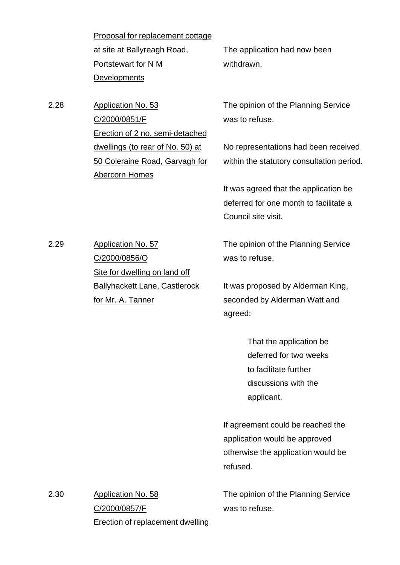Proposal for replacement cottage at site at Ballyreagh Road, Portstewart for N M **Developments** 

The application had now been withdrawn.

2.28 Application No. 53 C/2000/0851/F Erection of 2 no. semi-detached dwellings (to rear of No. 50) at 50 Coleraine Road, Garvagh for Abercorn Homes

The opinion of the Planning Service was to refuse.

No representations had been received within the statutory consultation period.

It was agreed that the application be deferred for one month to facilitate a Council site visit.

2.29 Application No. 57 C/2000/0856/O Site for dwelling on land off Ballyhackett Lane, Castlerock for Mr. A. Tanner

The opinion of the Planning Service was to refuse.

It was proposed by Alderman King, seconded by Alderman Watt and agreed:

> That the application be deferred for two weeks to facilitate further discussions with the applicant.

If agreement could be reached the application would be approved otherwise the application would be refused.

The opinion of the Planning Service was to refuse.

2.30 Application No. 58 C/2000/0857/F Erection of replacement dwelling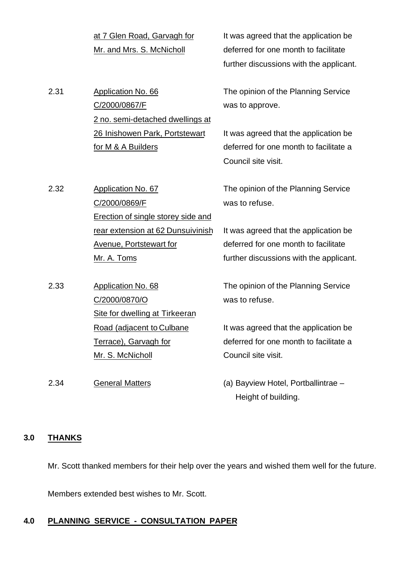| at 7 Glen Road, Garvagh for |
|-----------------------------|
| Mr. and Mrs. S. McNicholl   |

2.31 Application No. 66 C/2000/0867/F 2 no. semi-detached dwellings at 26 Inishowen Park, Portstewart for M & A Builders

2.32 Application No. 67

C/2000/0869/F

Mr. A. Toms

C/2000/0870/O

2.33 Application No. 68

Erection of single storey side and

rear extension at 62 Dunsuivinish

Avenue, Portstewart for

Site for dwelling at Tirkeeran

Road (adjacent to Culbane

Terrace), Garvagh for

Mr. S. McNicholl

It was agreed that the application be deferred for one month to facilitate further discussions with the applicant.

The opinion of the Planning Service was to approve.

It was agreed that the application be deferred for one month to facilitate a Council site visit.

The opinion of the Planning Service was to refuse.

It was agreed that the application be deferred for one month to facilitate further discussions with the applicant.

The opinion of the Planning Service was to refuse.

It was agreed that the application be deferred for one month to facilitate a Council site visit.

2.34 General Matters (a) Bayview Hotel, Portballintrae – Height of building.

# **3.0 THANKS**

Mr. Scott thanked members for their help over the years and wished them well for the future.

Members extended best wishes to Mr. Scott.

## **4.0 PLANNING SERVICE - CONSULTATION PAPER**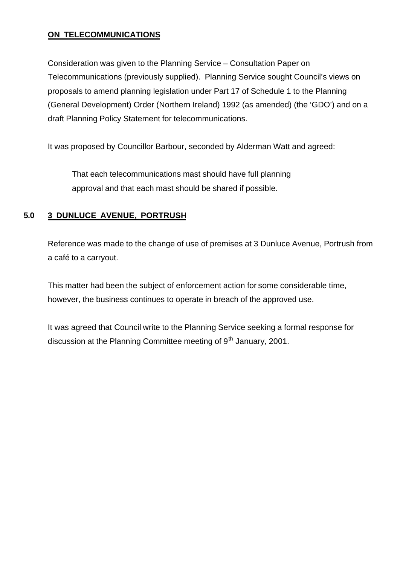# **ON TELECOMMUNICATIONS**

Consideration was given to the Planning Service – Consultation Paper on Telecommunications (previously supplied). Planning Service sought Council's views on proposals to amend planning legislation under Part 17 of Schedule 1 to the Planning (General Development) Order (Northern Ireland) 1992 (as amended) (the 'GDO') and on a draft Planning Policy Statement for telecommunications.

It was proposed by Councillor Barbour, seconded by Alderman Watt and agreed:

That each telecommunications mast should have full planning approval and that each mast should be shared if possible.

# **5.0 3 DUNLUCE AVENUE, PORTRUSH**

Reference was made to the change of use of premises at 3 Dunluce Avenue, Portrush from a café to a carryout.

This matter had been the subject of enforcement action for some considerable time, however, the business continues to operate in breach of the approved use.

It was agreed that Council write to the Planning Service seeking a formal response for discussion at the Planning Committee meeting of  $9<sup>th</sup>$  January, 2001.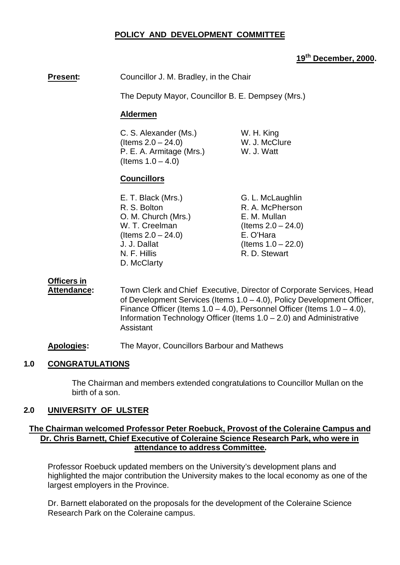## **POLICY AND DEVELOPMENT COMMITTEE**

# **19th December, 2000.**

**Present:** Councillor J. M. Bradley, in the Chair

The Deputy Mayor, Councillor B. E. Dempsey (Mrs.)

## **Aldermen**

C. S. Alexander (Ms.) W. H. King  $($ ltems  $2.0 - 24.0)$  W. J. McClure P. E. A. Armitage (Mrs.) W. J. Watt (Items  $1.0 - 4.0$ )

# **Councillors**

| E. T. Black (Mrs.)    | G. L. McLaughlin      |
|-----------------------|-----------------------|
| R. S. Bolton          | R. A. McPherson       |
| O. M. Church (Mrs.)   | E. M. Mullan          |
| W. T. Creelman        | (Items $2.0 - 24.0$ ) |
| (Items $2.0 - 24.0$ ) | E. O'Hara             |
| J. J. Dallat          | (Items $1.0 - 22.0$ ) |
| N. F. Hillis          | R. D. Stewart         |
| D. McClarty           |                       |
|                       |                       |

# **Officers in**

**Attendance:** Town Clerk and Chief Executive, Director of Corporate Services, Head of Development Services (Items 1.0 – 4.0), Policy Development Officer, Finance Officer (Items  $1.0 - 4.0$ ), Personnel Officer (Items  $1.0 - 4.0$ ), Information Technology Officer (Items 1.0 – 2.0) and Administrative Assistant

**Apologies:** The Mayor, Councillors Barbour and Mathews

## **1.0 CONGRATULATIONS**

The Chairman and members extended congratulations to Councillor Mullan on the birth of a son.

## **2.0 UNIVERSITY OF ULSTER**

# **The Chairman welcomed Professor Peter Roebuck, Provost of the Coleraine Campus and Dr. Chris Barnett, Chief Executive of Coleraine Science Research Park, who were in attendance to address Committee.**

Professor Roebuck updated members on the University's development plans and highlighted the major contribution the University makes to the local economy as one of the largest employers in the Province.

Dr. Barnett elaborated on the proposals for the development of the Coleraine Science Research Park on the Coleraine campus.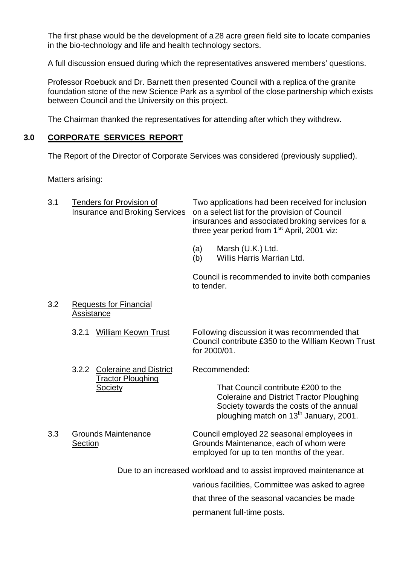The first phase would be the development of a 28 acre green field site to locate companies in the bio-technology and life and health technology sectors.

A full discussion ensued during which the representatives answered members' questions.

Professor Roebuck and Dr. Barnett then presented Council with a replica of the granite foundation stone of the new Science Park as a symbol of the close partnership which exists between Council and the University on this project.

The Chairman thanked the representatives for attending after which they withdrew.

# **3.0 CORPORATE SERVICES REPORT**

The Report of the Director of Corporate Services was considered (previously supplied).

Matters arising:

| 3.1 | <b>Tenders for Provision of</b><br><b>Insurance and Broking Services</b> | Two applications had been received for inclusion<br>on a select list for the provision of Council<br>insurances and associated broking services for a<br>three year period from 1 <sup>st</sup> April, 2001 viz: |                                                 |
|-----|--------------------------------------------------------------------------|------------------------------------------------------------------------------------------------------------------------------------------------------------------------------------------------------------------|-------------------------------------------------|
|     |                                                                          | (a)<br>(b)                                                                                                                                                                                                       | Marsh (U.K.) Ltd.<br>Willis Harris Marrian Ltd. |

Council is recommended to invite both companies to tender.

3.2 Requests for Financial **Assistance** 

> 3.2.1 William Keown Trust Following discussion it was recommended that Council contribute £350 to the William Keown Trust for 2000/01.

- 3.2.2 Coleraine and District Recommended: Tractor Ploughing Society That Council contribute £200 to the Coleraine and District Tractor Ploughing Society towards the costs of the annual
- 

3.3 Grounds Maintenance Council employed 22 seasonal employees in Section Grounds Maintenance, each of whom were employed for up to ten months of the year.

ploughing match on 13<sup>th</sup> January, 2001.

Due to an increased workload and to assist improved maintenance at

various facilities, Committee was asked to agree

that three of the seasonal vacancies be made

permanent full-time posts.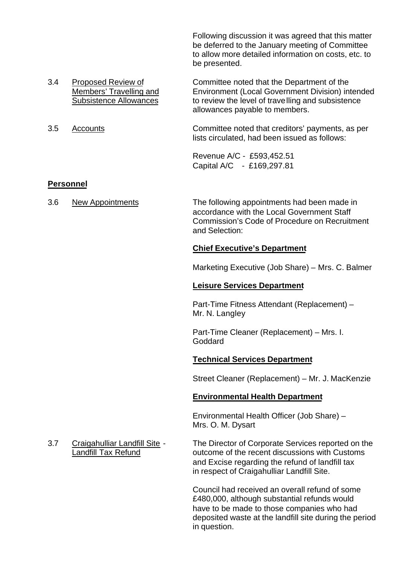Following discussion it was agreed that this matter be deferred to the January meeting of Committee to allow more detailed information on costs, etc. to be presented.

- 3.4 Proposed Review of Committee noted that the Department of the Members' Travelling and Environment (Local Government Division) intended Subsistence Allowances to review the level of travelling and subsistence
- 

# **Personnel**

allowances payable to members. 3.5 Accounts Committee noted that creditors' payments, as per

lists circulated, had been issued as follows:

Revenue A/C - £593,452.51 Capital A/C - £169,297.81

3.6 New Appointments The following appointments had been made in accordance with the Local Government Staff Commission's Code of Procedure on Recruitment and Selection:

## **Chief Executive's Department**

Marketing Executive (Job Share) – Mrs. C. Balmer

## **Leisure Services Department**

Part-Time Fitness Attendant (Replacement) – Mr. N. Langley

Part-Time Cleaner (Replacement) – Mrs. I. Goddard

# **Technical Services Department**

Street Cleaner (Replacement) – Mr. J. MacKenzie

# **Environmental Health Department**

Environmental Health Officer (Job Share) – Mrs. O. M. Dysart

3.7 Craigahulliar Landfill Site - The Director of Corporate Services reported on the Landfill Tax Refund **Case Controller Customs** outcome of the recent discussions with Customs and Excise regarding the refund of landfill tax in respect of Craigahulliar Landfill Site.

> Council had received an overall refund of some £480,000, although substantial refunds would have to be made to those companies who had deposited waste at the landfill site during the period in question.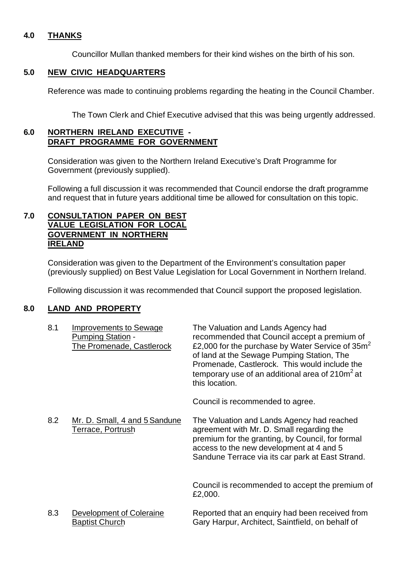# **4.0 THANKS**

Councillor Mullan thanked members for their kind wishes on the birth of his son.

## **5.0 NEW CIVIC HEADQUARTERS**

Reference was made to continuing problems regarding the heating in the Council Chamber.

The Town Clerk and Chief Executive advised that this was being urgently addressed.

# **6.0 NORTHERN IRELAND EXECUTIVE - DRAFT PROGRAMME FOR GOVERNMENT**

Consideration was given to the Northern Ireland Executive's Draft Programme for Government (previously supplied).

Following a full discussion it was recommended that Council endorse the draft programme and request that in future years additional time be allowed for consultation on this topic.

## **7.0 CONSULTATION PAPER ON BEST VALUE LEGISLATION FOR LOCAL GOVERNMENT IN NORTHERN IRELAND**

Consideration was given to the Department of the Environment's consultation paper (previously supplied) on Best Value Legislation for Local Government in Northern Ireland.

Following discussion it was recommended that Council support the proposed legislation.

## **8.0 LAND AND PROPERTY**

| 8.1 | <b>Improvements to Sewage</b><br><b>Pumping Station -</b><br>The Promenade, Castlerock | The Valuation and Lands Agency had<br>recommended that Council accept a premium of<br>£2,000 for the purchase by Water Service of $35m2$<br>of land at the Sewage Pumping Station, The<br>Promenade, Castlerock. This would include the<br>temporary use of an additional area of 210m <sup>2</sup> at<br>this location. |
|-----|----------------------------------------------------------------------------------------|--------------------------------------------------------------------------------------------------------------------------------------------------------------------------------------------------------------------------------------------------------------------------------------------------------------------------|
|     |                                                                                        | Council is recommended to agree.                                                                                                                                                                                                                                                                                         |
| 8.2 | Mr. D. Small, 4 and 5 Sandune<br>Terrace, Portrush                                     | The Valuation and Lands Agency had reached<br>agreement with Mr. D. Small regarding the<br>premium for the granting, by Council, for formal<br>access to the new development at 4 and 5<br>Sandune Terrace via its car park at East Strand.                                                                              |
|     |                                                                                        | Council is recommended to accept the premium of<br>£2,000.                                                                                                                                                                                                                                                               |
| 8.3 | Development of Coleraine<br><b>Baptist Church</b>                                      | Reported that an enquiry had been received from<br>Gary Harpur, Architect, Saintfield, on behalf of                                                                                                                                                                                                                      |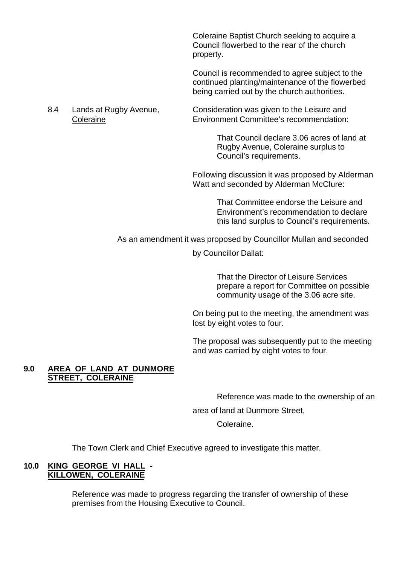Coleraine Baptist Church seeking to acquire a Council flowerbed to the rear of the church property.

Council is recommended to agree subject to the continued planting/maintenance of the flowerbed being carried out by the church authorities.

8.4 Lands at Rugby Avenue, Consideration was given to the Leisure and Coleraine Environment Committee's recommendation:

> That Council declare 3.06 acres of land at Rugby Avenue, Coleraine surplus to Council's requirements.

Following discussion it was proposed by Alderman Watt and seconded by Alderman McClure:

> That Committee endorse the Leisure and Environment's recommendation to declare this land surplus to Council's requirements.

As an amendment it was proposed by Councillor Mullan and seconded

by Councillor Dallat:

That the Director of Leisure Services prepare a report for Committee on possible community usage of the 3.06 acre site.

On being put to the meeting, the amendment was lost by eight votes to four.

The proposal was subsequently put to the meeting and was carried by eight votes to four.

# **9.0 AREA OF LAND AT DUNMORE STREET, COLERAINE**

Reference was made to the ownership of an

area of land at Dunmore Street,

Coleraine.

The Town Clerk and Chief Executive agreed to investigate this matter.

## **10.0 KING GEORGE VI HALL - KILLOWEN, COLERAINE**

Reference was made to progress regarding the transfer of ownership of these premises from the Housing Executive to Council.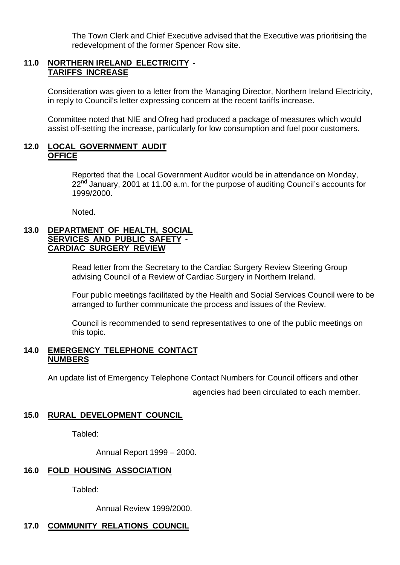The Town Clerk and Chief Executive advised that the Executive was prioritising the redevelopment of the former Spencer Row site.

# **11.0 NORTHERN IRELAND ELECTRICITY - TARIFFS INCREASE**

Consideration was given to a letter from the Managing Director, Northern Ireland Electricity, in reply to Council's letter expressing concern at the recent tariffs increase.

Committee noted that NIE and Ofreg had produced a package of measures which would assist off-setting the increase, particularly for low consumption and fuel poor customers.

## **12.0 LOCAL GOVERNMENT AUDIT OFFICE**

Reported that the Local Government Auditor would be in attendance on Monday,  $22<sup>nd</sup>$  January, 2001 at 11.00 a.m. for the purpose of auditing Council's accounts for 1999/2000.

Noted.

## **13.0 DEPARTMENT OF HEALTH, SOCIAL SERVICES AND PUBLIC SAFETY - CARDIAC SURGERY REVIEW**

Read letter from the Secretary to the Cardiac Surgery Review Steering Group advising Council of a Review of Cardiac Surgery in Northern Ireland.

Four public meetings facilitated by the Health and Social Services Council were to be arranged to further communicate the process and issues of the Review.

Council is recommended to send representatives to one of the public meetings on this topic.

## **14.0 EMERGENCY TELEPHONE CONTACT NUMBERS**

An update list of Emergency Telephone Contact Numbers for Council officers and other

agencies had been circulated to each member.

## **15.0 RURAL DEVELOPMENT COUNCIL**

Tabled:

Annual Report 1999 – 2000.

## **16.0 FOLD HOUSING ASSOCIATION**

Tabled:

Annual Review 1999/2000.

# **17.0 COMMUNITY RELATIONS COUNCIL**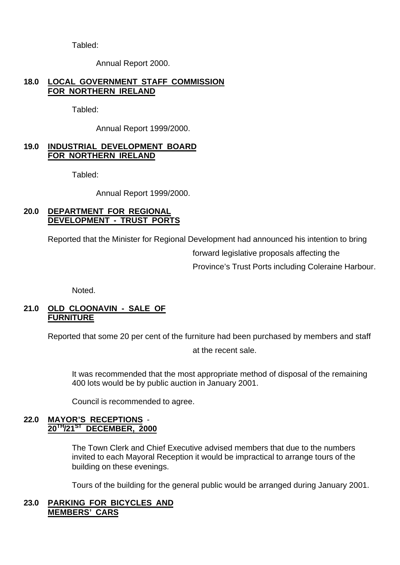Tabled:

Annual Report 2000.

# **18.0 LOCAL GOVERNMENT STAFF COMMISSION FOR NORTHERN IRELAND**

Tabled:

Annual Report 1999/2000.

## **19.0 INDUSTRIAL DEVELOPMENT BOARD FOR NORTHERN IRELAND**

Tabled:

Annual Report 1999/2000.

## **20.0 DEPARTMENT FOR REGIONAL DEVELOPMENT - TRUST PORTS**

Reported that the Minister for Regional Development had announced his intention to bring

forward legislative proposals affecting the Province's Trust Ports including Coleraine Harbour.

Noted.

## **21.0 OLD CLOONAVIN - SALE OF FURNITURE**

Reported that some 20 per cent of the furniture had been purchased by members and staff

at the recent sale.

It was recommended that the most appropriate method of disposal of the remaining 400 lots would be by public auction in January 2001.

Council is recommended to agree.

## **22.0 MAYOR'S RECEPTIONS** - **20TH/21ST DECEMBER, 2000**

The Town Clerk and Chief Executive advised members that due to the numbers invited to each Mayoral Reception it would be impractical to arrange tours of the building on these evenings.

Tours of the building for the general public would be arranged during January 2001.

# **23.0 PARKING FOR BICYCLES AND MEMBERS' CARS**